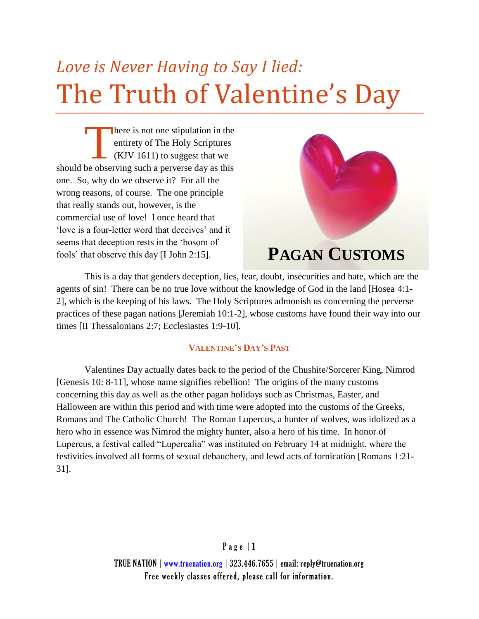# *Love is Never Having to Say I lied:* The Truth of Valentine's Day

here is not one stipulation in the entirety of The Holy Scriptures (KJV 1611) to suggest that we The should be observing such a perverse day as this a perverse day as this one. So, why do we observe it? For all the wrong reasons, of course. The one principle that really stands out, however, is the commercial use of love! I once heard that 'love is a four-letter word that deceives' and it seems that deception rests in the 'bosom of fools' that observe this day [I John 2:15].



# **PAGAN CUSTOMS**

This is a day that genders deception, lies, fear, doubt, insecurities and hate, which are the agents of sin! There can be no true love without the knowledge of God in the land [Hosea 4:1- 2], which is the keeping of his laws. The Holy Scriptures admonish us concerning the perverse practices of these pagan nations [Jeremiah 10:1-2], whose customs have found their way into our times [II Thessalonians 2:7; Ecclesiastes 1:9-10].

# **VALENTINE'S DAY'S PAST**

Valentines Day actually dates back to the period of the Chushite/Sorcerer King, Nimrod [Genesis 10: 8-11], whose name signifies rebellion! The origins of the many customs concerning this day as well as the other pagan holidays such as Christmas, Easter, and Halloween are within this period and with time were adopted into the customs of the Greeks, Romans and The Catholic Church! The Roman Lupercus, a hunter of wolves, was idolized as a hero who in essence was Nimrod the mighty hunter, also a hero of his time. In honor of Lupercus, a festival called "Lupercalia" was instituted on February 14 at midnight, where the festivities involved all forms of sexual debauchery, and lewd acts of fornication [Romans 1:21- 31].

> $P$  a g e  $|1$ TRUE NATION | www.truenation.org | 323.446.7655 | email: reply@truenation.org Free weekly classes offered, please call for information.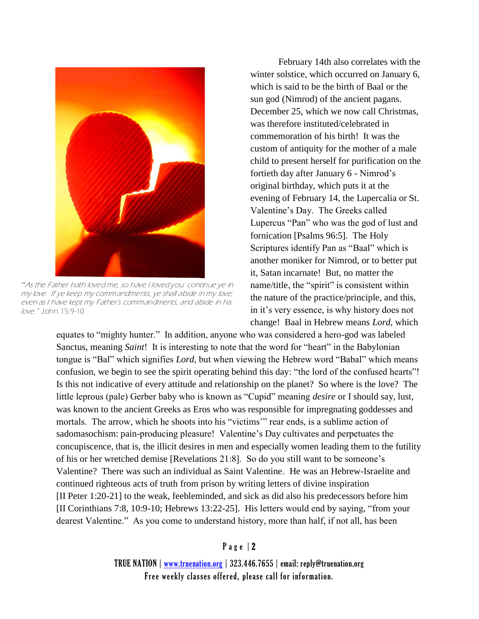

*"*As the Father hath loved me, so have I loved you: continue ye in my love. If ye keep my commandments, ye shall abide in my love; even as I have kept my Father's commandments, and abide in his love." John 15:9-10

February 14th also correlates with the winter solstice, which occurred on January 6. which is said to be the birth of Baal or the sun god (Nimrod) of the ancient pagans. December 25, which we now call Christmas, was therefore instituted/celebrated in commemoration of his birth! It was the custom of antiquity for the mother of a male child to present herself for purification on the fortieth day after January 6 - Nimrod's original birthday, which puts it at the evening of February 14, the Lupercalia or St. Valentine's Day. The Greeks called Lupercus "Pan" who was the god of lust and fornication [Psalms 96:5]. The Holy Scriptures identify Pan as "Baal" which is another moniker for Nimrod, or to better put it, Satan incarnate! But, no matter the name/title, the "spirit" is consistent within the nature of the practice/principle, and this, in it's very essence, is why history does not change! Baal in Hebrew means *Lord*, which

equates to "mighty hunter." In addition, anyone who was considered a hero-god was labeled Sanctus, meaning *Saint*! It is interesting to note that the word for "heart" in the Babylonian tongue is "Bal" which signifies *Lord*, but when viewing the Hebrew word "Babal" which means confusion, we begin to see the spirit operating behind this day: "the lord of the confused hearts"! Is this not indicative of every attitude and relationship on the planet? So where is the love? The little leprous (pale) Gerber baby who is known as "Cupid" meaning *desire* or I should say, lust, was known to the ancient Greeks as Eros who was responsible for impregnating goddesses and mortals. The arrow, which he shoots into his "victims'" rear ends, is a sublime action of sadomasochism: pain-producing pleasure! Valentine's Day cultivates and perpetuates the concupiscence, that is, the illicit desires in men and especially women leading them to the futility of his or her wretched demise [Revelations 21:8]. So do you still want to be someone's Valentine? There was such an individual as Saint Valentine. He was an Hebrew-Israelite and continued righteous acts of truth from prison by writing letters of divine inspiration [II Peter 1:20-21] to the weak, feebleminded, and sick as did also his predecessors before him [II Corinthians 7:8, 10:9-10; Hebrews 13:22-25]. His letters would end by saying, "from your dearest Valentine." As you come to understand history, more than half, if not all, has been

### Page | 2

TRUE NATION | www.truenation.org | 323.446.7655 | email: reply@truenation.org Free weekly classes offered, please call for information.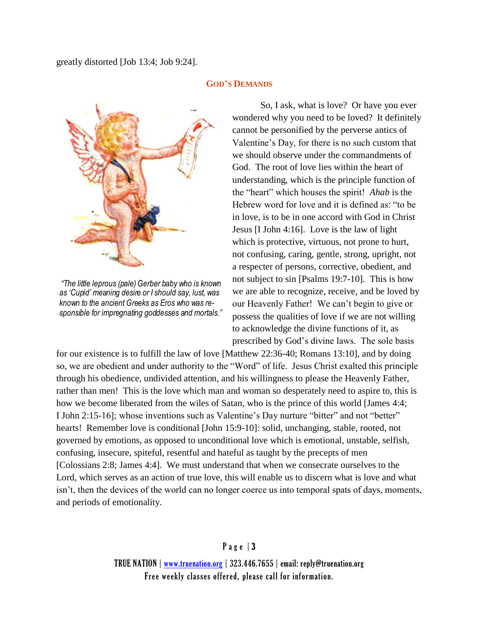greatly distorted [Job 13:4; Job 9:24].



wondered why you need to be loved? It definitely cannot be personified by the perverse antics of Valentine's Day, for there is no such custom that we should observe under the commandments of God. The root of love lies within the heart of understanding, which is the principle function of the "heart" which houses the spirit! *Ahab* is the Hebrew word for love and it is defined as: "to be in love, is to be in one accord with God in Christ Jesus [I John 4:16]. Love is the law of light which is protective, virtuous, not prone to hurt, not confusing, caring, gentle, strong, upright, not a respecter of persons, corrective, obedient, and not subject to sin [Psalms 19:7-10]. This is how we are able to recognize, receive, and be loved by our Heavenly Father! We can't begin to give or possess the qualities of love if we are not willing to acknowledge the divine functions of it, as prescribed by God's divine laws. The sole basis

So, I ask, what is love? Or have you ever

*"The little leprous (pale) Gerber baby who is known as 'Cupid' meaning desire or I should say, lust, was known to the ancient Greeks as Eros who was responsible for impregnating goddesses and mortals."* 

for our existence is to fulfill the law of love [Matthew 22:36-40; Romans 13:10], and by doing so, we are obedient and under authority to the "Word" of life. Jesus Christ exalted this principle through his obedience, undivided attention, and his willingness to please the Heavenly Father, rather than men! This is the love which man and woman so desperately need to aspire to, this is how we become liberated from the wiles of Satan, who is the prince of this world [James 4:4; I John 2:15-16]; whose inventions such as Valentine's Day nurture "bitter" and not "better" hearts! Remember love is conditional [John 15:9-10]: solid, unchanging, stable, rooted, not governed by emotions, as opposed to unconditional love which is emotional, unstable, selfish, confusing, insecure, spiteful, resentful and hateful as taught by the precepts of men [Colossians 2:8; James 4:4]. We must understand that when we consecrate ourselves to the Lord, which serves as an action of true love, this will enable us to discern what is love and what isn't, then the devices of the world can no longer coerce us into temporal spats of days, moments, and periods of emotionality.

## Page | 3

TRUE NATION | www.truenation.org | 323.446.7655 | email: reply@truenation.org Free weekly classes offered, please call for information.

#### **GOD'S DEMANDS**